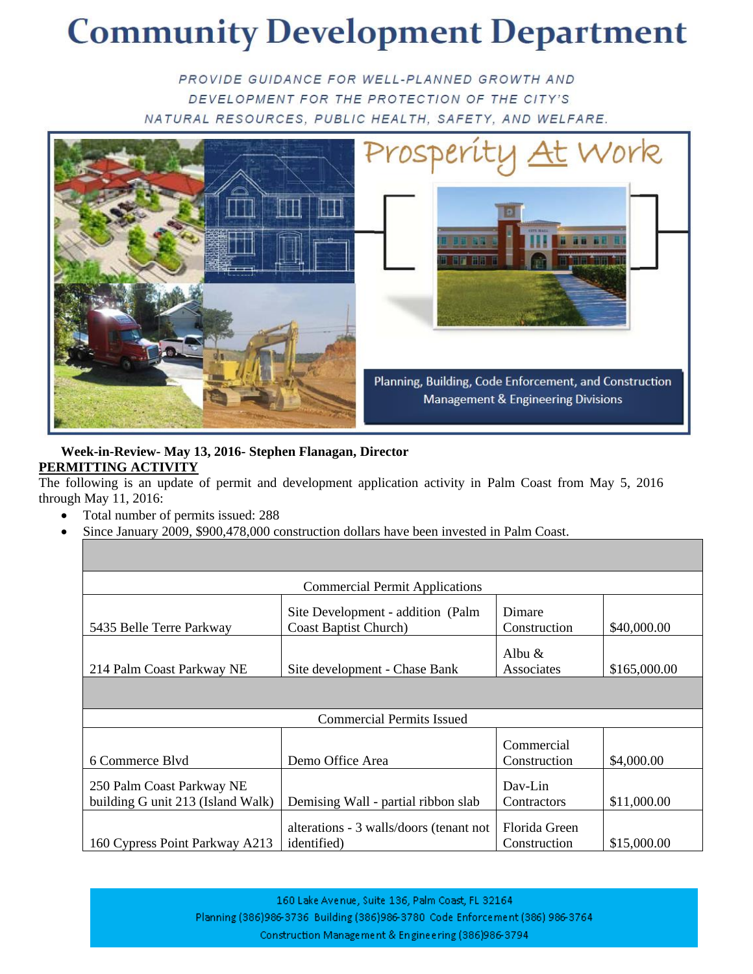## **Community Development Department**

PROVIDE GUIDANCE FOR WELL-PLANNED GROWTH AND DEVELOPMENT FOR THE PROTECTION OF THE CITY'S NATURAL RESOURCES, PUBLIC HEALTH, SAFETY, AND WELFARE.



## **Week-in-Review- May 13, 2016- Stephen Flanagan, Director PERMITTING ACTIVITY**

The following is an update of permit and development application activity in Palm Coast from May 5, 2016 through May 11, 2016:

- Total number of permits issued: 288
- Since January 2009, \$900,478,000 construction dollars have been invested in Palm Coast.

| <b>Commercial Permit Applications</b>                          |                                                                    |                               |              |  |  |
|----------------------------------------------------------------|--------------------------------------------------------------------|-------------------------------|--------------|--|--|
| 5435 Belle Terre Parkway                                       | Site Development - addition (Palm<br><b>Coast Baptist Church</b> ) | Dimare<br>Construction        | \$40,000.00  |  |  |
| 214 Palm Coast Parkway NE                                      | Site development - Chase Bank                                      | Albu $\&$<br>Associates       | \$165,000.00 |  |  |
|                                                                |                                                                    |                               |              |  |  |
| <b>Commercial Permits Issued</b>                               |                                                                    |                               |              |  |  |
| 6 Commerce Blvd                                                | Demo Office Area                                                   | Commercial<br>Construction    | \$4,000.00   |  |  |
| 250 Palm Coast Parkway NE<br>building G unit 213 (Island Walk) | Demising Wall - partial ribbon slab                                | Dav-Lin<br>Contractors        | \$11,000.00  |  |  |
| 160 Cypress Point Parkway A213                                 | alterations - 3 walls/doors (tenant not<br><i>identified</i> )     | Florida Green<br>Construction | \$15,000.00  |  |  |

160 Lake Avenue, Suite 136, Palm Coast, FL 32164 Planning (386)986-3736 Building (386)986-3780 Code Enforcement (386) 986-3764 Construction Management & Engineering (386)986-3794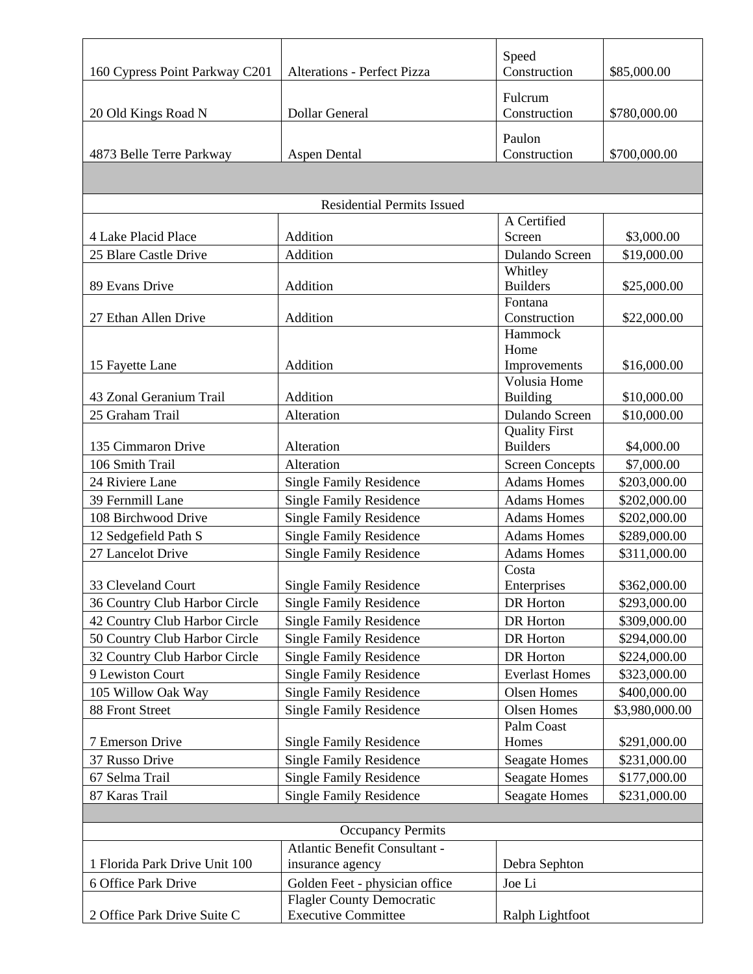| 160 Cypress Point Parkway C201    | <b>Alterations - Perfect Pizza</b> | Speed<br>Construction      | \$85,000.00    |  |  |
|-----------------------------------|------------------------------------|----------------------------|----------------|--|--|
|                                   |                                    |                            |                |  |  |
| 20 Old Kings Road N               | Dollar General                     | Fulcrum<br>Construction    | \$780,000.00   |  |  |
|                                   |                                    | Paulon                     |                |  |  |
| 4873 Belle Terre Parkway          | <b>Aspen Dental</b>                | Construction               | \$700,000.00   |  |  |
|                                   |                                    |                            |                |  |  |
|                                   |                                    |                            |                |  |  |
| <b>Residential Permits Issued</b> |                                    |                            |                |  |  |
|                                   |                                    | A Certified                |                |  |  |
| 4 Lake Placid Place               | Addition                           | Screen                     | \$3,000.00     |  |  |
| 25 Blare Castle Drive             | Addition                           | Dulando Screen             | \$19,000.00    |  |  |
|                                   |                                    | Whitley<br><b>Builders</b> |                |  |  |
| 89 Evans Drive                    | Addition                           | Fontana                    | \$25,000.00    |  |  |
| 27 Ethan Allen Drive              | Addition                           | Construction               | \$22,000.00    |  |  |
|                                   |                                    | Hammock                    |                |  |  |
|                                   |                                    | Home                       |                |  |  |
| 15 Fayette Lane                   | Addition                           | Improvements               | \$16,000.00    |  |  |
|                                   |                                    | Volusia Home               |                |  |  |
| 43 Zonal Geranium Trail           | Addition                           | <b>Building</b>            | \$10,000.00    |  |  |
| 25 Graham Trail                   | Alteration                         | Dulando Screen             | \$10,000.00    |  |  |
|                                   |                                    | <b>Quality First</b>       |                |  |  |
| 135 Cimmaron Drive                | Alteration                         | <b>Builders</b>            | \$4,000.00     |  |  |
| 106 Smith Trail                   | Alteration                         | <b>Screen Concepts</b>     | \$7,000.00     |  |  |
| 24 Riviere Lane                   | <b>Single Family Residence</b>     | <b>Adams Homes</b>         | \$203,000.00   |  |  |
| 39 Fernmill Lane                  | <b>Single Family Residence</b>     | <b>Adams Homes</b>         | \$202,000.00   |  |  |
| 108 Birchwood Drive               | <b>Single Family Residence</b>     | <b>Adams Homes</b>         | \$202,000.00   |  |  |
| 12 Sedgefield Path S              | <b>Single Family Residence</b>     | <b>Adams Homes</b>         | \$289,000.00   |  |  |
| 27 Lancelot Drive                 | <b>Single Family Residence</b>     | <b>Adams Homes</b>         | \$311,000.00   |  |  |
|                                   |                                    | Costa                      |                |  |  |
| 33 Cleveland Court                | <b>Single Family Residence</b>     | Enterprises                | \$362,000.00   |  |  |
| 36 Country Club Harbor Circle     | <b>Single Family Residence</b>     | DR Horton                  | \$293,000.00   |  |  |
| 42 Country Club Harbor Circle     | <b>Single Family Residence</b>     | DR Horton                  | \$309,000.00   |  |  |
| 50 Country Club Harbor Circle     | <b>Single Family Residence</b>     | DR Horton                  | \$294,000.00   |  |  |
| 32 Country Club Harbor Circle     | <b>Single Family Residence</b>     | DR Horton                  | \$224,000.00   |  |  |
| 9 Lewiston Court                  | <b>Single Family Residence</b>     | <b>Everlast Homes</b>      | \$323,000.00   |  |  |
| 105 Willow Oak Way                | <b>Single Family Residence</b>     | <b>Olsen Homes</b>         | \$400,000.00   |  |  |
| 88 Front Street                   | <b>Single Family Residence</b>     | Olsen Homes                | \$3,980,000.00 |  |  |
|                                   |                                    | Palm Coast                 |                |  |  |
| 7 Emerson Drive                   | <b>Single Family Residence</b>     | Homes                      | \$291,000.00   |  |  |
| 37 Russo Drive                    | <b>Single Family Residence</b>     | <b>Seagate Homes</b>       | \$231,000.00   |  |  |
| 67 Selma Trail                    | <b>Single Family Residence</b>     | <b>Seagate Homes</b>       | \$177,000.00   |  |  |
| 87 Karas Trail                    | <b>Single Family Residence</b>     | <b>Seagate Homes</b>       | \$231,000.00   |  |  |
|                                   |                                    |                            |                |  |  |
| <b>Occupancy Permits</b>          |                                    |                            |                |  |  |
|                                   | Atlantic Benefit Consultant -      |                            |                |  |  |
| 1 Florida Park Drive Unit 100     | insurance agency                   | Debra Sephton              |                |  |  |
| 6 Office Park Drive               | Golden Feet - physician office     | Joe Li                     |                |  |  |
|                                   | <b>Flagler County Democratic</b>   |                            |                |  |  |
| 2 Office Park Drive Suite C       | <b>Executive Committee</b>         | Ralph Lightfoot            |                |  |  |